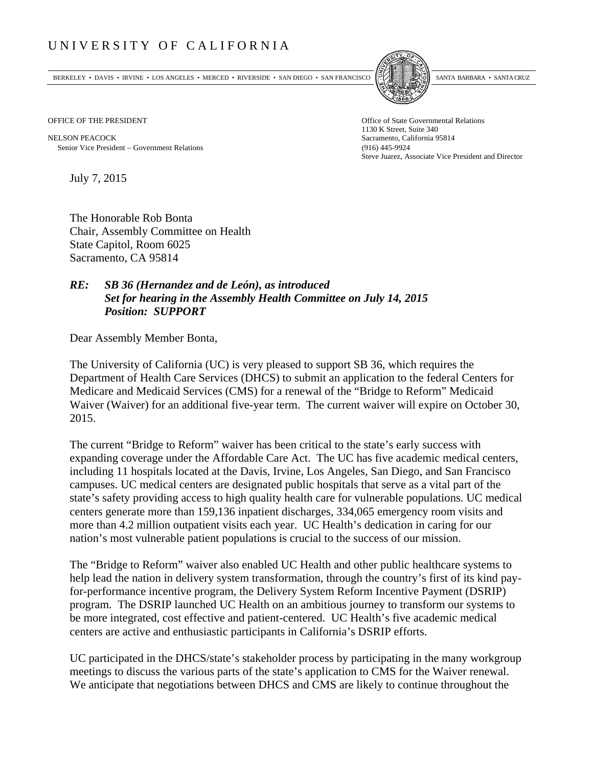## UNIVERSITY OF CALIFORNIA

BERKELEY • DAVIS • IRVINE • LOS ANGELES • MERCED • RIVERSIDE • SAN DIEGO • SAN FRANCISCO SANTA BARBARA • SANTA CRUZ



OFFICE OF THE PRESIDENT STATES OF THE PRESIDENT

NELSON PEACOCK Sacramento, California 95814 Senior Vice President Government Relations (916) 445-9924

1130 K Street, Suite 340 Steve Juarez, Associate Vice President and Director

July 7, 2015

The Honorable Rob Bonta Chair, Assembly Committee on Health State Capitol, Room 6025 Sacramento, CA 95814

## *RE: SB 36 (Hernandez and de León), as introduced Set for hearing in the Assembly Health Committee on July 14, 2015 Position: SUPPORT*

Dear Assembly Member Bonta,

The University of California (UC) is very pleased to support SB 36, which requires the Department of Health Care Services (DHCS) to submit an application to the federal Centers for Medicare and Medicaid Services (CMS) for a renewal of the "Bridge to Reform" Medicaid Waiver (Waiver) for an additional five-year term. The current waiver will expire on October 30, 2015.

The current "Bridge to Reform" waiver has been critical to the state's early success with expanding coverage under the Affordable Care Act. The UC has five academic medical centers, including 11 hospitals located at the Davis, Irvine, Los Angeles, San Diego, and San Francisco campuses. UC medical centers are designated public hospitals that serve as a vital part of the state's safety providing access to high quality health care for vulnerable populations. UC medical centers generate more than 159,136 inpatient discharges, 334,065 emergency room visits and more than 4.2 million outpatient visits each year. UC Health's dedication in caring for our nation's most vulnerable patient populations is crucial to the success of our mission.

The "Bridge to Reform" waiver also enabled UC Health and other public healthcare systems to help lead the nation in delivery system transformation, through the country's first of its kind payfor-performance incentive program, the Delivery System Reform Incentive Payment (DSRIP) program. The DSRIP launched UC Health on an ambitious journey to transform our systems to be more integrated, cost effective and patient-centered. UC Health's five academic medical centers are active and enthusiastic participants in California's DSRIP efforts.

UC participated in the DHCS/state's stakeholder process by participating in the many workgroup meetings to discuss the various parts of the state's application to CMS for the Waiver renewal. We anticipate that negotiations between DHCS and CMS are likely to continue throughout the